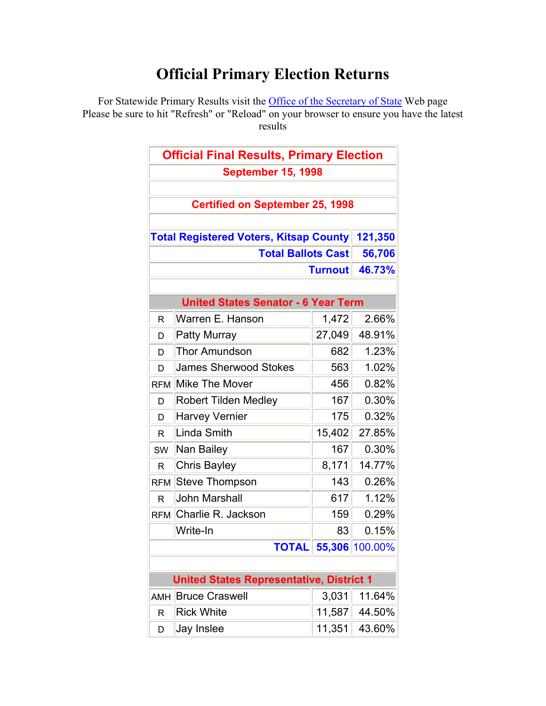## **Official Primary Election Returns**

For Statewide Primary Results visit the **Office of the Secretary of State** Web page Please be sure to hit "Refresh" or "Reload" on your browser to ensure you have the latest results

|                                                 | <b>Official Final Results, Primary Election</b> |                |         |
|-------------------------------------------------|-------------------------------------------------|----------------|---------|
|                                                 | <b>September 15, 1998</b>                       |                |         |
|                                                 | <b>Certified on September 25, 1998</b>          |                |         |
|                                                 |                                                 |                |         |
|                                                 | <b>Total Registered Voters, Kitsap County</b>   |                | 121,350 |
| <b>Total Ballots Cast</b>                       |                                                 |                | 56,706  |
|                                                 |                                                 | <b>Turnout</b> | 46.73%  |
|                                                 |                                                 |                |         |
|                                                 | <b>United States Senator - 6 Year Term</b>      |                |         |
| R                                               | Warren E. Hanson                                | 1,472          | 2.66%   |
| D                                               | <b>Patty Murray</b>                             | 27,049         | 48.91%  |
| D                                               | <b>Thor Amundson</b>                            | 682            | 1.23%   |
| D                                               | <b>James Sherwood Stokes</b>                    | 563            | 1.02%   |
| <b>RFM</b>                                      | Mike The Mover                                  | 456            | 0.82%   |
| D                                               | <b>Robert Tilden Medley</b>                     | 167            | 0.30%   |
| D                                               | <b>Harvey Vernier</b>                           | 175            | 0.32%   |
| R                                               | Linda Smith                                     | 15,402         | 27.85%  |
| SW                                              | Nan Bailey                                      | 167            | 0.30%   |
| R.                                              | <b>Chris Bayley</b>                             | 8,171          | 14.77%  |
| <b>RFM</b>                                      | Steve Thompson                                  | 143            | 0.26%   |
| R.                                              | <b>John Marshall</b>                            | 617            | 1.12%   |
| <b>RFM</b>                                      | Charlie R. Jackson                              | 159            | 0.29%   |
|                                                 | Write-In                                        | 83             | 0.15%   |
| <b>TOTAL</b> 55,306 100.00%                     |                                                 |                |         |
|                                                 |                                                 |                |         |
| <b>United States Representative, District 1</b> |                                                 |                |         |
| <b>AMH</b>                                      | <b>Bruce Craswell</b>                           | 3,031          | 11.64%  |
| R                                               | <b>Rick White</b>                               | 11,587         | 44.50%  |
| D                                               | Jay Inslee                                      | 11,351         | 43.60%  |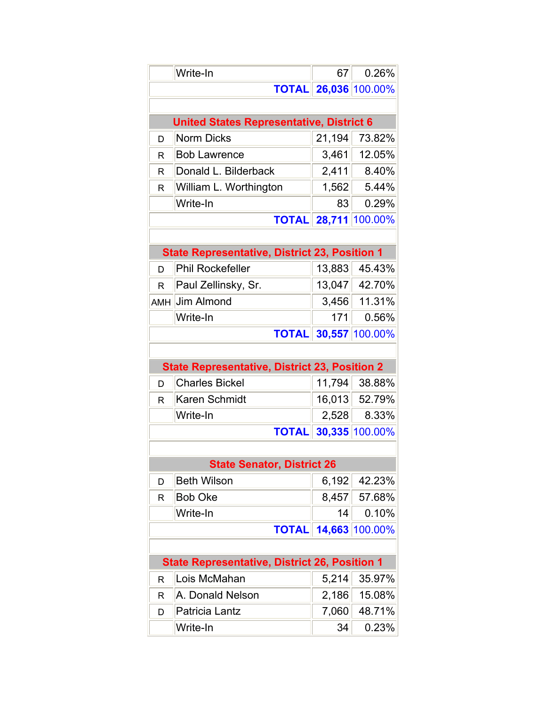|                                                      | Write-In                                             | 67     | 0.26%                       |
|------------------------------------------------------|------------------------------------------------------|--------|-----------------------------|
|                                                      |                                                      |        | <b>TOTAL 26,036 100.00%</b> |
|                                                      |                                                      |        |                             |
| <b>United States Representative, District 6</b>      |                                                      |        |                             |
| D                                                    | <b>Norm Dicks</b>                                    | 21,194 | 73.82%                      |
| R                                                    | <b>Bob Lawrence</b>                                  | 3,461  | 12.05%                      |
| R                                                    | Donald L. Bilderback                                 | 2,411  | 8.40%                       |
| R                                                    | William L. Worthington                               | 1,562  | 5.44%                       |
|                                                      | Write-In                                             | 83     | 0.29%                       |
|                                                      | <b>TOTAL</b>                                         |        | 28,711 100.00%              |
|                                                      |                                                      |        |                             |
| <b>State Representative, District 23, Position 1</b> |                                                      |        |                             |
| D                                                    | <b>Phil Rockefeller</b>                              | 13,883 | 45.43%                      |
| R                                                    | Paul Zellinsky, Sr.                                  |        | 13,047 42.70%               |
| AMH                                                  | Jim Almond                                           | 3,456  | 11.31%                      |
|                                                      | Write-In                                             | 171    | 0.56%                       |
|                                                      | <b>TOTAL</b>                                         |        | 30,557 100.00%              |
|                                                      |                                                      |        |                             |
|                                                      | <b>State Representative, District 23, Position 2</b> |        |                             |
| D                                                    | <b>Charles Bickel</b>                                | 11,794 | 38.88%                      |
| R                                                    | Karen Schmidt                                        | 16,013 | 52.79%                      |
|                                                      | Write-In                                             | 2,528  | 8.33%                       |
|                                                      | <b>TOTAL</b>                                         |        | 30,335 100.00%              |
|                                                      |                                                      |        |                             |
|                                                      | <b>State Senator, District 26</b>                    |        |                             |
| D                                                    | <b>Beth Wilson</b>                                   | 6,192  | 42.23%                      |
| R                                                    | <b>Bob Oke</b>                                       | 8,457  | 57.68%                      |
|                                                      | Write-In                                             | 14     | 0.10%                       |
|                                                      | <b>TOTAL</b>                                         |        | 14,663 100.00%              |
|                                                      |                                                      |        |                             |
| <b>State Representative, District 26, Position 1</b> |                                                      |        |                             |
| R                                                    | Lois McMahan                                         | 5,214  | 35.97%                      |
| R                                                    | A. Donald Nelson                                     | 2,186  | 15.08%                      |
| D                                                    | Patricia Lantz                                       | 7,060  | 48.71%                      |
|                                                      | Write-In                                             | 34     | 0.23%                       |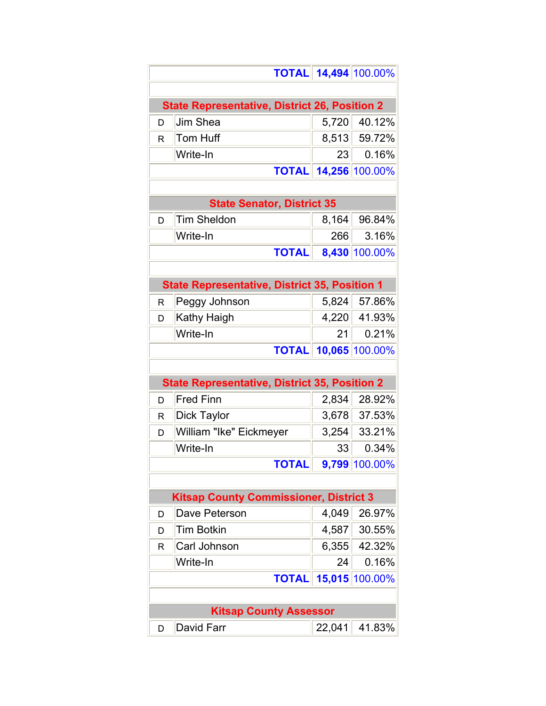|   | <b>TOTAL</b>                                         |  |        | 14,494 100.00% |
|---|------------------------------------------------------|--|--------|----------------|
|   |                                                      |  |        |                |
|   | <b>State Representative, District 26, Position 2</b> |  |        |                |
| D | Jim Shea                                             |  | 5,720  | 40.12%         |
| R | <b>Tom Huff</b>                                      |  |        | 8,513 59.72%   |
|   | Write-In                                             |  | 23     | 0.16%          |
|   | <b>TOTAL</b>                                         |  | 14,256 | 100.00%        |
|   |                                                      |  |        |                |
|   | <b>State Senator, District 35</b>                    |  |        |                |
| D | <b>Tim Sheldon</b>                                   |  | 8,164  | 96.84%         |
|   | Write-In                                             |  | 266    | 3.16%          |
|   | <b>TOTAL</b>                                         |  | 8,430  | 100.00%        |
|   |                                                      |  |        |                |
|   | <b>State Representative, District 35, Position 1</b> |  |        |                |
| R | Peggy Johnson                                        |  | 5,824  | 57.86%         |
| D | Kathy Haigh                                          |  | 4,220  | 41.93%         |
|   | Write-In                                             |  | 21     | 0.21%          |
|   | <b>TOTAL</b>                                         |  | 10,065 | 100.00%        |
|   |                                                      |  |        |                |
|   | <b>State Representative, District 35, Position 2</b> |  |        |                |
| D | <b>Fred Finn</b>                                     |  | 2,834  | 28.92%         |
| R | Dick Taylor                                          |  | 3,678  | 37.53%         |
| D | William "Ike" Eickmeyer                              |  | 3,254  | 33.21%         |
|   | Write-In                                             |  | 33     | 0.34%          |
|   | <b>TOTAL</b>                                         |  |        | 9,799 100.00%  |
|   |                                                      |  |        |                |
|   | <b>Kitsap County Commissioner, District 3</b>        |  |        |                |
| D | Dave Peterson                                        |  | 4,049  | 26.97%         |
| D | <b>Tim Botkin</b>                                    |  | 4,587  | 30.55%         |
| R | Carl Johnson                                         |  | 6,355  | 42.32%         |
|   | Write-In                                             |  | 24     | 0.16%          |
|   | <b>TOTAL</b>                                         |  |        | 15,015 100.00% |
|   |                                                      |  |        |                |
|   | <b>Kitsap County Assessor</b>                        |  |        |                |
| D | David Farr                                           |  | 22,041 | 41.83%         |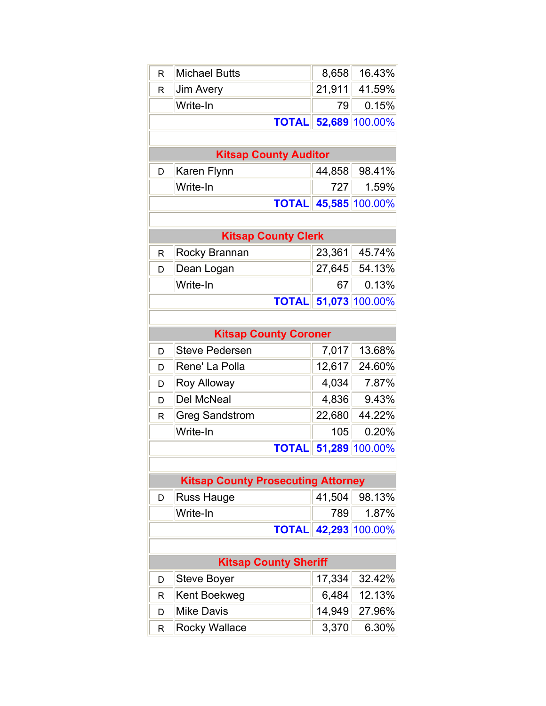| R                            | <b>Michael Butts</b>                      | 8,658  | 16.43%         |  |
|------------------------------|-------------------------------------------|--------|----------------|--|
| R                            | <b>Jim Avery</b>                          | 21,911 | 41.59%         |  |
|                              | Write-In                                  | 79     | 0.15%          |  |
|                              | <b>TOTAL</b>                              | 52,689 | 100.00%        |  |
|                              |                                           |        |                |  |
|                              | <b>Kitsap County Auditor</b>              |        |                |  |
| D                            | Karen Flynn                               | 44,858 | 98.41%         |  |
|                              | Write-In                                  | 727    | 1.59%          |  |
|                              | <b>TOTAL</b>                              |        | 45,585 100.00% |  |
|                              |                                           |        |                |  |
|                              | <b>Kitsap County Clerk</b>                |        |                |  |
| R                            | Rocky Brannan                             | 23,361 | 45.74%         |  |
| D                            | Dean Logan                                | 27,645 | 54.13%         |  |
|                              | Write-In                                  | 67     | 0.13%          |  |
|                              | <b>TOTAL</b>                              |        | 51,073 100.00% |  |
|                              |                                           |        |                |  |
| <b>Kitsap County Coroner</b> |                                           |        |                |  |
| D                            | <b>Steve Pedersen</b>                     | 7,017  | 13.68%         |  |
| D                            | Rene' La Polla                            | 12,617 | 24.60%         |  |
| D                            | Roy Alloway                               | 4,034  | 7.87%          |  |
| D                            | Del McNeal                                | 4,836  | 9.43%          |  |
| R                            | <b>Greg Sandstrom</b>                     | 22,680 | 44.22%         |  |
|                              | Write-In                                  | 105    | 0.20%          |  |
|                              | <b>TOTAL</b>                              | 51,289 | 100.00%        |  |
|                              |                                           |        |                |  |
|                              | <b>Kitsap County Prosecuting Attorney</b> |        |                |  |
| D                            | <b>Russ Hauge</b>                         | 41,504 | 98.13%         |  |
|                              | Write-In                                  | 789    | 1.87%          |  |
|                              | 42,293 100.00%<br><b>TOTAL</b>            |        |                |  |
|                              |                                           |        |                |  |
| <b>Kitsap County Sheriff</b> |                                           |        |                |  |
| D                            | <b>Steve Boyer</b>                        | 17,334 | 32.42%         |  |
| R                            | Kent Boekweg                              | 6,484  | 12.13%         |  |
| D                            | <b>Mike Davis</b>                         | 14,949 | 27.96%         |  |
| R                            | <b>Rocky Wallace</b>                      | 3,370  | 6.30%          |  |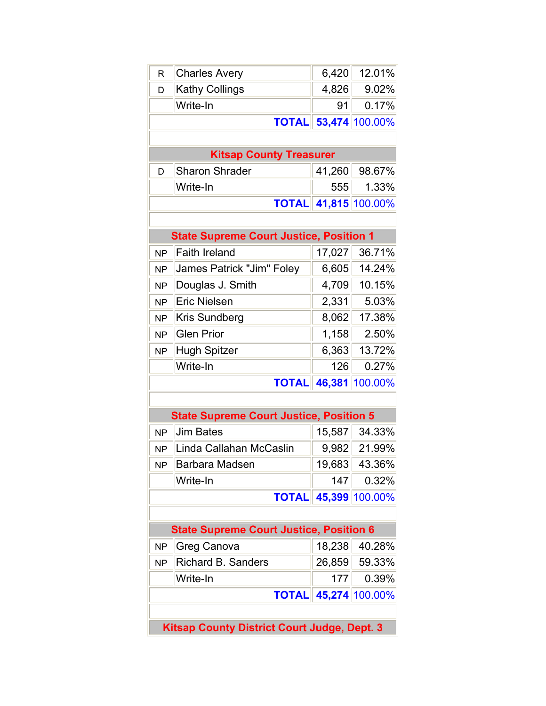| R                                                  | <b>Charles Avery</b>                           | 6,420  | 12.01%         |
|----------------------------------------------------|------------------------------------------------|--------|----------------|
| D                                                  | <b>Kathy Collings</b>                          | 4,826  | 9.02%          |
|                                                    | Write-In                                       | 91     | 0.17%          |
| <b>TOTAL</b>                                       |                                                |        | 53,474 100.00% |
|                                                    |                                                |        |                |
|                                                    | <b>Kitsap County Treasurer</b>                 |        |                |
| D                                                  | <b>Sharon Shrader</b>                          | 41,260 | 98.67%         |
|                                                    | Write-In                                       | 555    | 1.33%          |
| <b>TOTAL</b>                                       |                                                |        | 41,815 100.00% |
|                                                    |                                                |        |                |
|                                                    | <b>State Supreme Court Justice, Position 1</b> |        |                |
| <b>NP</b>                                          | <b>Faith Ireland</b>                           | 17,027 | 36.71%         |
| <b>NP</b>                                          | James Patrick "Jim" Foley                      | 6,605  | 14.24%         |
| <b>NP</b>                                          | Douglas J. Smith                               | 4,709  | 10.15%         |
| <b>NP</b>                                          | <b>Eric Nielsen</b>                            | 2,331  | 5.03%          |
| <b>NP</b>                                          | <b>Kris Sundberg</b>                           | 8,062  | 17.38%         |
| <b>NP</b>                                          | <b>Glen Prior</b>                              | 1,158  | 2.50%          |
| <b>NP</b>                                          | Hugh Spitzer                                   | 6,363  | 13.72%         |
|                                                    | Write-In                                       | 126    | 0.27%          |
| 46,381<br>100.00%<br><b>TOTAL</b>                  |                                                |        |                |
|                                                    |                                                |        |                |
|                                                    | <b>State Supreme Court Justice, Position 5</b> |        |                |
| <b>NP</b>                                          | <b>Jim Bates</b>                               | 15,587 | 34.33%         |
| <b>NP</b>                                          | Linda Callahan McCaslin                        | 9,982  | 21.99%         |
| <b>NP</b>                                          | Barbara Madsen                                 | 19,683 | 43.36%         |
|                                                    | Write-In                                       | 147    | 0.32%          |
|                                                    | <b>TOTAL</b>                                   |        | 45,399 100.00% |
|                                                    |                                                |        |                |
| <b>State Supreme Court Justice, Position 6</b>     |                                                |        |                |
| <b>NP</b>                                          | Greg Canova                                    | 18,238 | 40.28%         |
| <b>NP</b>                                          | <b>Richard B. Sanders</b>                      | 26,859 | 59.33%         |
|                                                    | Write-In                                       | 177    | 0.39%          |
| 45,274 100.00%<br><b>TOTAL</b>                     |                                                |        |                |
|                                                    |                                                |        |                |
| <b>Kitsap County District Court Judge, Dept. 3</b> |                                                |        |                |